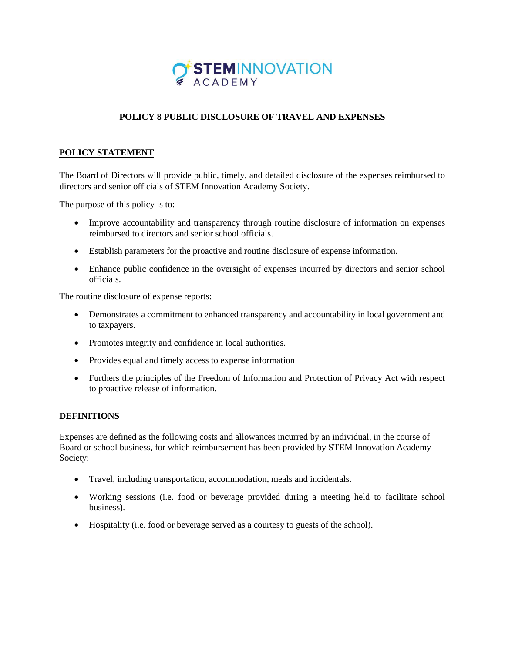

## **POLICY 8 PUBLIC DISCLOSURE OF TRAVEL AND EXPENSES**

## **POLICY STATEMENT**

The Board of Directors will provide public, timely, and detailed disclosure of the expenses reimbursed to directors and senior officials of STEM Innovation Academy Society.

The purpose of this policy is to:

- Improve accountability and transparency through routine disclosure of information on expenses reimbursed to directors and senior school officials.
- Establish parameters for the proactive and routine disclosure of expense information.
- Enhance public confidence in the oversight of expenses incurred by directors and senior school officials.

The routine disclosure of expense reports:

- Demonstrates a commitment to enhanced transparency and accountability in local government and to taxpayers.
- Promotes integrity and confidence in local authorities.
- Provides equal and timely access to expense information
- Furthers the principles of the Freedom of Information and Protection of Privacy Act with respect to proactive release of information.

## **DEFINITIONS**

Expenses are defined as the following costs and allowances incurred by an individual, in the course of Board or school business, for which reimbursement has been provided by STEM Innovation Academy Society:

- Travel, including transportation, accommodation, meals and incidentals.
- Working sessions (i.e. food or beverage provided during a meeting held to facilitate school business).
- Hospitality (i.e. food or beverage served as a courtesy to guests of the school).